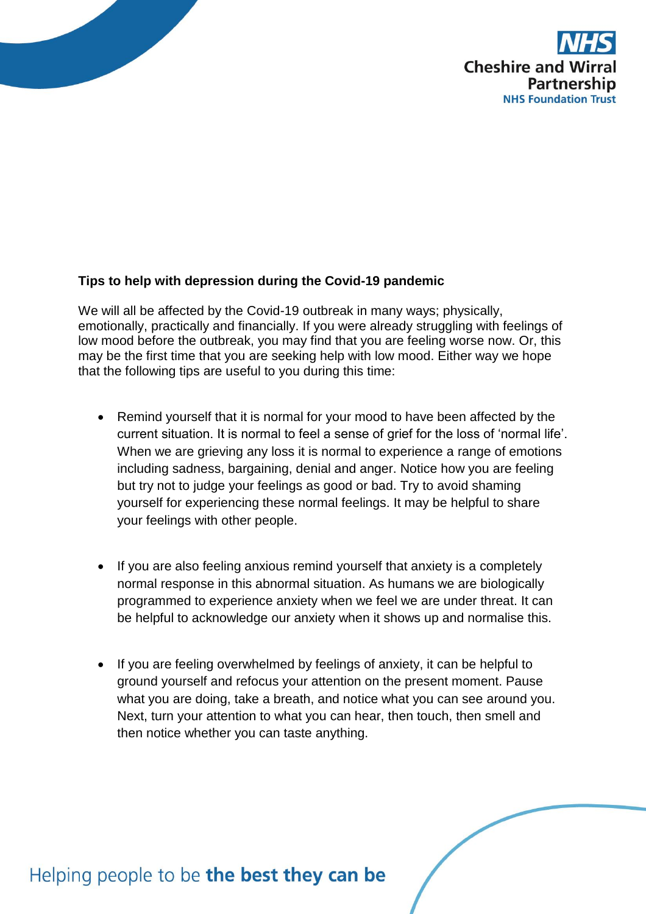

## **Tips to help with depression during the Covid-19 pandemic**

We will all be affected by the Covid-19 outbreak in many ways; physically, emotionally, practically and financially. If you were already struggling with feelings of low mood before the outbreak, you may find that you are feeling worse now. Or, this may be the first time that you are seeking help with low mood. Either way we hope that the following tips are useful to you during this time:

- Remind yourself that it is normal for your mood to have been affected by the current situation. It is normal to feel a sense of grief for the loss of 'normal life'. When we are grieving any loss it is normal to experience a range of emotions including sadness, bargaining, denial and anger. Notice how you are feeling but try not to judge your feelings as good or bad. Try to avoid shaming yourself for experiencing these normal feelings. It may be helpful to share your feelings with other people.
- If you are also feeling anxious remind yourself that anxiety is a completely normal response in this abnormal situation. As humans we are biologically programmed to experience anxiety when we feel we are under threat. It can be helpful to acknowledge our anxiety when it shows up and normalise this.
- If you are feeling overwhelmed by feelings of anxiety, it can be helpful to ground yourself and refocus your attention on the present moment. Pause what you are doing, take a breath, and notice what you can see around you. Next, turn your attention to what you can hear, then touch, then smell and then notice whether you can taste anything.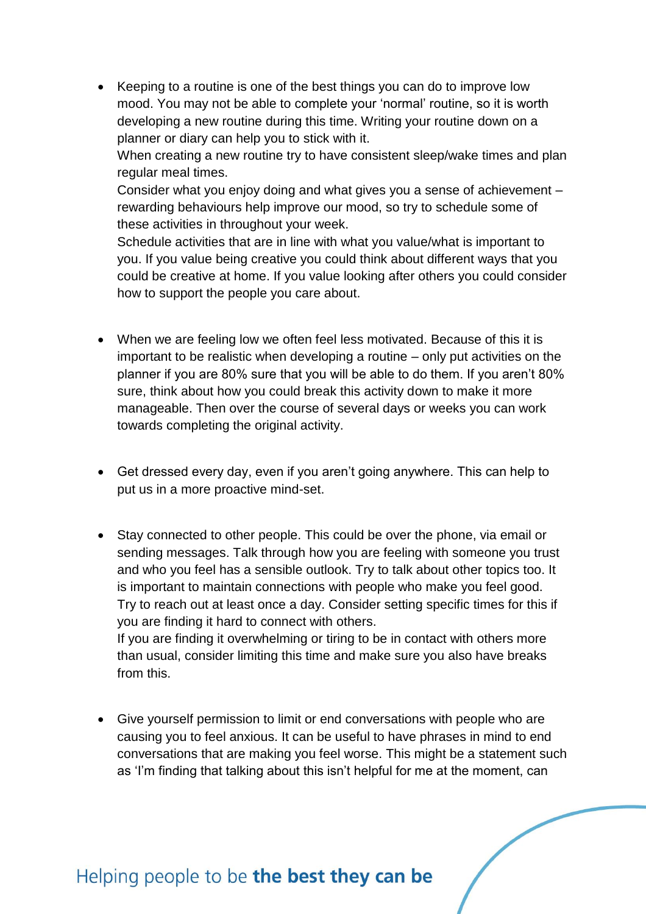• Keeping to a routine is one of the best things you can do to improve low mood. You may not be able to complete your 'normal' routine, so it is worth developing a new routine during this time. Writing your routine down on a planner or diary can help you to stick with it. When creating a new routine try to have consistent sleep/wake times and plan regular meal times.

Consider what you enjoy doing and what gives you a sense of achievement – rewarding behaviours help improve our mood, so try to schedule some of these activities in throughout your week.

Schedule activities that are in line with what you value/what is important to you. If you value being creative you could think about different ways that you could be creative at home. If you value looking after others you could consider how to support the people you care about.

- When we are feeling low we often feel less motivated. Because of this it is important to be realistic when developing a routine – only put activities on the planner if you are 80% sure that you will be able to do them. If you aren't 80% sure, think about how you could break this activity down to make it more manageable. Then over the course of several days or weeks you can work towards completing the original activity.
- Get dressed every day, even if you aren't going anywhere. This can help to put us in a more proactive mind-set.
- Stay connected to other people. This could be over the phone, via email or sending messages. Talk through how you are feeling with someone you trust and who you feel has a sensible outlook. Try to talk about other topics too. It is important to maintain connections with people who make you feel good. Try to reach out at least once a day. Consider setting specific times for this if you are finding it hard to connect with others. If you are finding it overwhelming or tiring to be in contact with others more than usual, consider limiting this time and make sure you also have breaks from this.
- Give yourself permission to limit or end conversations with people who are causing you to feel anxious. It can be useful to have phrases in mind to end conversations that are making you feel worse. This might be a statement such as 'I'm finding that talking about this isn't helpful for me at the moment, can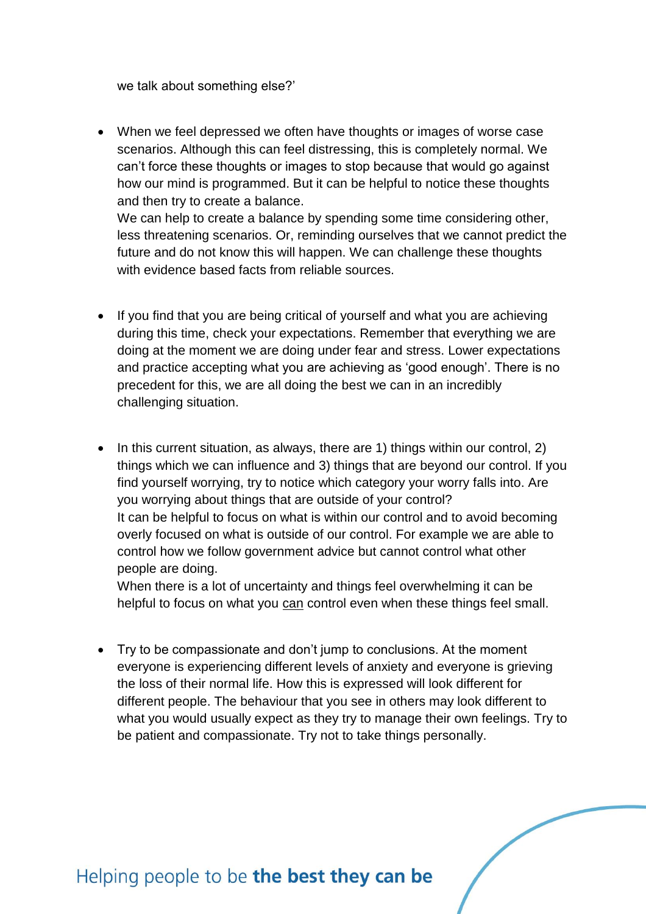we talk about something else?'

 When we feel depressed we often have thoughts or images of worse case scenarios. Although this can feel distressing, this is completely normal. We can't force these thoughts or images to stop because that would go against how our mind is programmed. But it can be helpful to notice these thoughts and then try to create a balance.

We can help to create a balance by spending some time considering other, less threatening scenarios. Or, reminding ourselves that we cannot predict the future and do not know this will happen. We can challenge these thoughts with evidence based facts from reliable sources.

- If you find that you are being critical of yourself and what you are achieving during this time, check your expectations. Remember that everything we are doing at the moment we are doing under fear and stress. Lower expectations and practice accepting what you are achieving as 'good enough'. There is no precedent for this, we are all doing the best we can in an incredibly challenging situation.
- In this current situation, as always, there are 1) things within our control, 2) things which we can influence and 3) things that are beyond our control. If you find yourself worrying, try to notice which category your worry falls into. Are you worrying about things that are outside of your control? It can be helpful to focus on what is within our control and to avoid becoming overly focused on what is outside of our control. For example we are able to control how we follow government advice but cannot control what other people are doing.

When there is a lot of uncertainty and things feel overwhelming it can be helpful to focus on what you can control even when these things feel small.

 Try to be compassionate and don't jump to conclusions. At the moment everyone is experiencing different levels of anxiety and everyone is grieving the loss of their normal life. How this is expressed will look different for different people. The behaviour that you see in others may look different to what you would usually expect as they try to manage their own feelings. Try to be patient and compassionate. Try not to take things personally.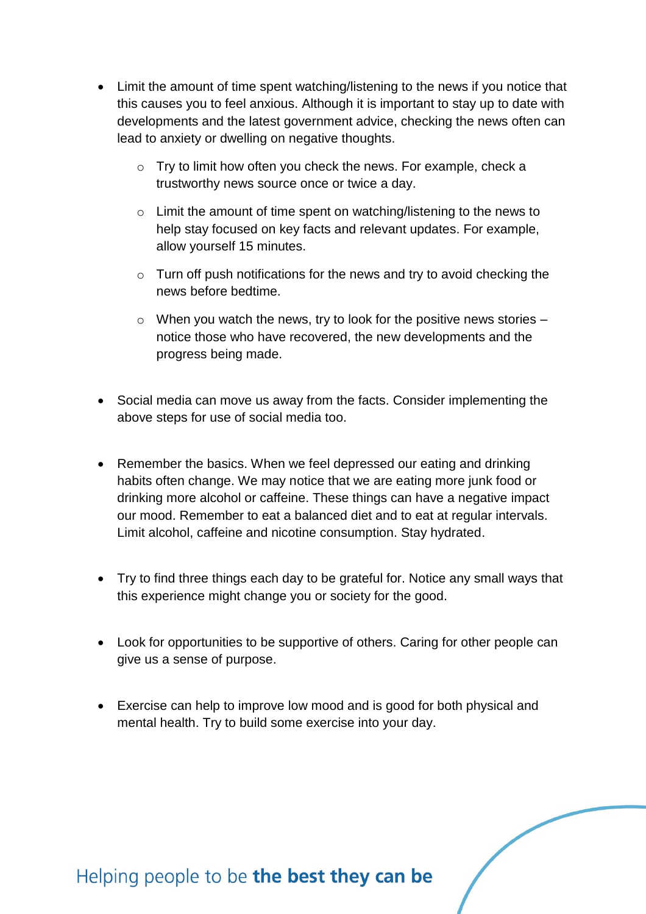- Limit the amount of time spent watching/listening to the news if you notice that this causes you to feel anxious. Although it is important to stay up to date with developments and the latest government advice, checking the news often can lead to anxiety or dwelling on negative thoughts.
	- o Try to limit how often you check the news. For example, check a trustworthy news source once or twice a day.
	- o Limit the amount of time spent on watching/listening to the news to help stay focused on key facts and relevant updates. For example, allow yourself 15 minutes.
	- $\circ$  Turn off push notifications for the news and try to avoid checking the news before bedtime.
	- $\circ$  When you watch the news, try to look for the positive news stories  $$ notice those who have recovered, the new developments and the progress being made.
- Social media can move us away from the facts. Consider implementing the above steps for use of social media too.
- Remember the basics. When we feel depressed our eating and drinking habits often change. We may notice that we are eating more junk food or drinking more alcohol or caffeine. These things can have a negative impact our mood. Remember to eat a balanced diet and to eat at regular intervals. Limit alcohol, caffeine and nicotine consumption. Stay hydrated.
- Try to find three things each day to be grateful for. Notice any small ways that this experience might change you or society for the good.
- Look for opportunities to be supportive of others. Caring for other people can give us a sense of purpose.
- Exercise can help to improve low mood and is good for both physical and mental health. Try to build some exercise into your day.